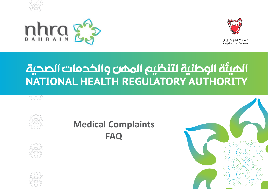





فملكية التحبرين Kingdom of Bahrain

# الميئة الوطنية لتنظيم الممن والخدمات الصحية NATIONAL HEALTH REGULATORY AUTHORITY





## **Medical Complaints FAQ**





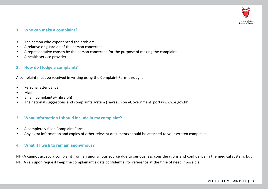

#### **1. Who can make a complaint?**

- The person who experienced the problem.
- A relative or guardian of the person concerned.
- A representative chosen by the person concerned for the purpose of making the complaint.
- A health service provider

#### **2. How do I lodge a complaint?**

A complaint must be received in writing using the Complaint Form through:

- Personal attendance
- Mail
- Email (complaints@nhra.bh)
- The national suggestions and complaints system (Tawasul) on eGovernment portal(www.e.gov.bh)

#### **3. What information I should include in my complaint?**

- A completely filled Complaint Form.
- Any extra information and copies of other relevant documents should be attached to your written complaint.

#### **4. What if I wish to remain anonymous?**

NHRA cannot accept a complaint from an anonymous source due to seriousness considerations and confidence in the medical system, but NHRA can upon request keep the complainant's data confidential for reference at the time of need if possible.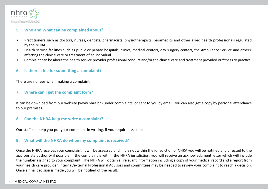

#### **5. Who and What can be complained about?**

- Practitioners such as doctors, nurses, dentists, pharmacists, physiotherapists, paramedics and other allied health professionals regulated by the NHRA.
- Health service facilities such as public or private hospitals, clinics, medical centers, day surgery centers, the Ambulance Service and others, affecting the clinical care or treatment of an individual.
- Complaint can be about the health service provider professional conduct and/or the clinical care and treatment provided or fitness to practice.

#### **6. Is there a fee for submitting a complaint?**

There are no fees when making a complaint.

#### **7. Where can I get the complaint form?**

It can be download from our website (www.nhra.bh) under complaints, or sent to you by email. You can also get a copy by personal attendance to our premises.

#### **8. Can the NHRA help me write a complaint?**

Our staff can help you put your complaint in writing, if you require assistance.

#### **9. What will the NHRA do when my complaint is received?**

Once the NHRA receives your complaint, it will be assessed and if it is not within the jurisdiction of NHRA you will be notified and directed to the appropriate authority if possible. If the complaint is within the NHRA jurisdiction, you will receive an acknowledgment letter which will include the number assigned to your complaint. The NHRA will obtain all relevant information including a copy of your medical record and a report from your health care provider, internal/external Professional Advisors and committees may be needed to review your complaint to reach a decision. Once a final decision is made you will be notified of the result.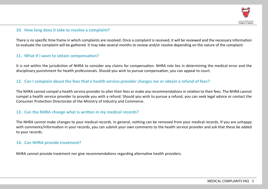

#### **10. How long does it take to resolve a complaint?**

There is no specific time frame in which complaints are resolved. Once a complaint is received, it will be reviewed and the necessary information to evaluate the complaint will be gathered. It may take several months to review and/or resolve depending on the nature of the complaint.

#### **11. What if I want to obtain compensation?**

It is not within the jurisdiction of NHRA to consider any claims for compensation. NHRA role lies in determining the medical error and the disciplinary punishment for health professionals. Should you wish to pursue compensation, you can appeal to court.

#### **12. Can I complain about the fees that a health service provider charges me or obtain a refund of fees?**

The NHRA cannot compel a health service provider to alter their fees or make any recommendations in relation to their fees. The NHRA cannot compel a health service provider to provide you with a refund. Should you wish to pursue a refund, you can seek legal advice or contact the Consumer Protection Directorate of the Ministry of Industry and Commerce.

#### **13. Can the NHRA change what is written in my medical records?**

The NHRA cannot make changes to your medical records. In general, nothing can be removed from your medical records. If you are unhappy with comments/information in your records, you can submit your own comments to the health service provider and ask that these be added to your records.

#### **14. Can NHRA provide treatment?**

NHRA cannot provide treatment nor give recommendations regarding alternative health providers.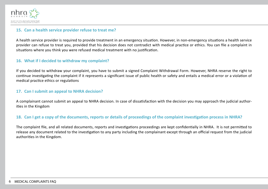

#### **15. Can a health service provider refuse to treat me?**

A health service provider is required to provide treatment in an emergency situation. However, in non-emergency situations a health service provider can refuse to treat you, provided that his decision does not contradict with medical practice or ethics. You can file a complaint in situations where you think you were refused medical treatment with no justification.

#### **16. What if I decided to withdraw my complaint?**

If you decided to withdraw your complaint, you have to submit a signed Complaint Withdrawal Form. However, NHRA reserve the right to continue investigating the complaint if it represents a significant issue of public health or safety and entails a medical error or a violation of medical practice ethics or regulations

#### **17. Can I submit an appeal to NHRA decision?**

A complainant cannot submit an appeal to NHRA decision. In case of dissatisfaction with the decision you may approach the judicial authorities in the Kingdom

#### **18. Can I get a copy of the documents, reports or details of proceedings of the complaint investigation process in NHRA?**

The complaint file, and all related documents, reports and investigations proceedings are kept confidentially in NHRA. It is not permitted to release any document related to the investigation to any party including the complainant except through an official request from the judicial authorities in the Kingdom.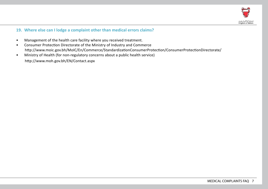

#### **19. Where else can I lodge a complaint other than medical errors claims?**

- Management of the health care facility where you received treatment.
- Consumer Protection Directorate of the Ministry of Industry and Commerce http://www.moic.gov.bh/MoIC/En/Commerce/StandardizationConsumerProtection/ConsumerProtectionDirectorate/
- Ministry of Health (for non-regulatory concerns about a public health service) http://www.moh.gov.bh/EN/Contact.aspx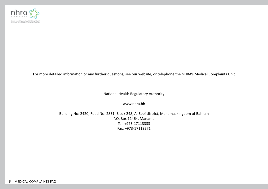

For more detailed information or any further questions, see our website, or telephone the NHRA's Medical Complaints Unit

National Health Regulatory Authority

www.nhra.bh

Building No: 2420, Road No: 2831, Block 248, Al-Seef district, Manama, kingdom of Bahrain P.O. Box 11464, Manama Tel: +973-17113333 Fax: +973-17113271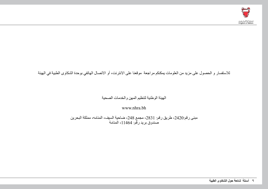

### للاستفسار و الحصول على مزيد من العلومات يمكنكم مراجعة موقعنا على الانترنت، أو الاتصال الهاتفي بوحدة الشكاوى الطبية في الهيئة

#### الهيئة الوطنية لتنظيم المهن والخدمات الصحية

www.nhra.bh

مبنى رقم:2420، طريق رقم: 2831، مجمع 248، ضاحية السيف، المنامه، مملكة البحرين صندوق بريد رقم: ،11464 المنامة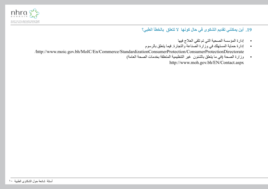

**.19 أين يمكنني تقديم الشكوى في حال كونها ال تتعلق بالخطأ الطبي؟**

- إدارة المؤسسة الصحية التي تم تلقي العالج فيها
- إدارة حماية المستهلك في وزارة الصناعة والتجارة. فيما يتعلق بالرسوم /http://www.moic.gov.bh/MoIC/En/Commerce/StandardizationConsumerProtection/ConsumerProtectionDirectorate
	- وزارة الصحة )في ما يتعلق بالشئون غير التنظيمية المتعلقة بخدمات الصحة العامة( http://www.moh.gov.bh/EN/Contact.aspx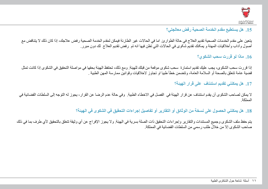

## **.15 هل يستطيع مقدم الخدمة الصحية رفض معالجتي؟**

يتعين على مقدم الخدمات الصحية تقديم العالج في حالة الطوارئ. اما في الحاالت غير الطارئة فيمكن لمقدم الخدمة الصحية رفض عالجك، إذا كان ذلك ال يتناقض مع أصول وآداب وأخالقيات المهنة و يمکنك تقدیم شکوى في الحاالت التي تظن فیھا انه تم رفض تقديم العالج لك دون مبرر.

**.16 ماذا لو قررت سحب الشكوي؟**

إذا قررت سحب الشكوى، يجب عليك تقديم استمارة سحب شكوى موقعة من قبلك للهيئة. ومع ذلك، تحتفظ الهيئة بحقها في مواصلة التحقيق في الشكوى إذا كانت تمثل قضية عامة تتعلق بالصحة أو السالمة العامة، وتتضمن خطأ طبيا او تجاوز الخالقيات وقوانين ممارسة المهن الطبية .

**.17 هل يمكنني تقديم استئناف على قرار الهيئة؟**

لا يمكن لصاحب الشكوى أن يقدم استئناف عن قرار الهيئة في الفصل في الاخطاء الطبية. وفي حالة عدم الرضا عن القرار، يجوز له التوجه إلى السلطات القضائية في المملكة.

**.18 هل يمكنني الحصول على نسخة من الوثائق أو التقارير أو تفاصيل إجراءات التحقيق في الشكوى في الهيئة؟**

يتم حفظ ملف الشكوى وجميع المستندات والتقارير وإجراءات التحقيق ذات الصلة بسرية في الهيئة . ولا يجوز الإفراج عن أي وثيقة تتعلق بالتحقيق لأي طرف بما في ذلك صاحب الشكوى إال من خالل طلب رسمي من السلطات القضائية في المملكة.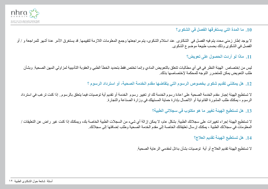

## **.10 ما المدة التي يستغرقها الفصل في الشكوى؟**

لا يوجد إطار زمني محدد يتم فيه الفصل في الشكاوي. عند استلام الشكوى، يتم مراجعتها وجمع المعلومات اللازمة لتقييمها. قد يستغرق الأمر عدة أشهر للمراجعة و / أو الفصل في الشكوى وذلك بحسب طبيعة موضوع الشكوى.

**.11 ماذا لو أردت الحصول على تعويض؟**

ليس من إختصاص الهيئة النظر في في أي مطالبات تتعلق بالتعويض المادي وإنما تختص فقط بتحديد الخطأ الطبي والعقوبة التأديبية لمزاولي المهن الصحية. وبشأن طلب التعويض يمكن للمتضرر التوجه للمحكمة إلختصاصها بذلك.

**.12 هل يمكنني تقديم شكوى بخصوص الرسوم التي يتقاضها مقدم الخدمة الصحية، أو استرداد الرسوم ؟**

لا تستطيع الهيئة إجبار مقدم الخدمة الصحية على اعادة رسوم الخدمة. لم تقديم أية توصيات فيما يتعلق بالرسوم.. إذا كنت ترغب في استرداد الرسوم ، يمكنك طلب المشورة القانونية أو االتصال بإدارة حماية المستهلك في وزارة الصناعة والتجارة.

**.13 هل تستطيع الهيئة تغيير ما هو مكتوب في سجالتي الطبية؟**

لا تستطيع الهيئة إجراء تغييرات على سجلاتك الطبية. بشكل عام، لا يمكن إزالة أي شيء من السجلات الطبية الخاصة بك، ويمكنك إذا كنت غير راض عن التعليقات / المعلومات في سجالتك الطبية ، يمكنك إرسال تعليقاتك الخاصة إلى مقدم الخدمة الصحية وطلب إضافتها إلى سجالتك.

**.14 هل تستطيع الهيئة تقديم العالج؟**

ال تستطيع الهيئة تقديم العالج أو أية توصيات بشأن بدائل لمقدمي الرعاية الصحية.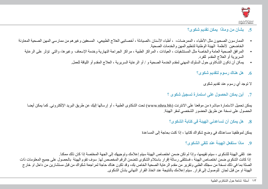

## **.5 بشأن من وماذا يمكن تقديم شكوى؟**

- الممارسون الصحيون مثل الأطباء ، الممرضات، ، أطباء الأسنان ،الصيادلة ، أخصائيي العلاج الطبيعي، المسعفين وغيرهم من ممارسي المهن الصحية المعاونة الخاضعين لأنظمة الهيئة الوطنية لتنظيم المهن والخدمات الصحية.
	- المرافق الصحية العامة والخاصة مثل المستشفيات ، العيادات ، المراكز الطبية ، مراكز الجراحة النهارية وخدمة اإلسعاف وغيرها، والتي تؤثر على الرعاية السريرية أو العالج المقدم للفرد.
		- یمکن أن تکون الشکاوى حول السلوك المھني لمقدم الخدمة الصحیة و / أو الرعایة السریریة ، العالج المقدم أو اللياقة للعمل.
			- **.6 هل هناك رسوم لتقديم شكوى؟**

ال توجد أي رسوم عند تقديم شكوى

**.7 أين يمكن الحصول على استمارة تسجيل شكوى ؟**

يمكن تحميل الاستمارة مباشرة من موقعنا على الانترنت (www.nhra.bh) تحت الشكاوى الطبية ، أو إرسالها إليك عن طريق البريد الإلكتروني. كما يمكن أيضا الحصول على نسخة عن طريق الحضور الشخصي لمقر الهيئة.

**.8 هل يمكن أن تساعدني الهيئة في كتابة الشكوى؟**

يمكن لموظفينا مساعدتك في وضع شكواك كتابيا ، إذا كنت بحاجة إلى المساعدة

**.9 ماذا ستفعل الهيئة عند تلقي الشكوى؟**

عند تلقى الهيئة للشكوى ، سيتم تقييمها، وإذا لم تكن ضمن اختصاص الهيئة سيتم إعالمك وتوجيهك إلى الجهة المختصة إذا كان ذلك ممكنا. إذا كانت الشكوى ضمن اختصاص الهيئة ، فستتلقى رسالة إقرار باستالم الشكوى تتضمن الرقم المخصص لها. سوف تقوم الهيئة بالحصول على جميع المعلومات ذات الصلة بما في ذلك نسخة من سجلك الطبي وتقرير من مقدم الرعاية الصحية الخاص بك، وقد تكون هناك حاجة لمراجعة شكواك من قبل مستشارين من داخل او خارج الهيئة او من قبل لجان للوصول إلى قرار. سيتم إعالمك بالنتيجة عند اتخاذ القرار النهائي بشأن الشكوى.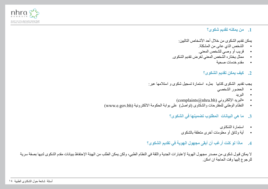

### **.1 من يمكنه تقديم شكوى؟**

يمكن تقديم الشكو ي من خلال أحد الأشخاص التاليين:

- الشخص الذي عانى من المشكلة.
- قريب أو وصي للشخص المعني.
- ممثل يختاره الشخص المعني لغرض تقديم الشكوى.
	- مقدم خدمات صحية

#### **.2 كيف يمكن تقديم الشكوى؟**

يجب تقديم الشكوى كتابيا بملء استمارة تسجيل شكوى و استالمها عبر:

- الحضور الشخصي
	- البريد
- (complaints@nhra.bh) • البريد الإلكتروني (complaints)
- النظام الوطني للمقترحات والشكاوى )تواصل( على بوابة الحكومة االلكترونية )bh.gov.e.www)
	- **.3 ما هي البيانات المطلوب تضمينها في الشكوى؟**
		- استمارة الشكاوى
		- أية وثائق أو معلومات أخرى متعلقة بالشكوى
	- **.4 ماذا لو كنت أرغب أن أبقى مجهول الهوية في تقديم الشكوى؟**

ال يمكن قبول شكوى من مصدر مجهول الهوية إلعتبارات الجدية والثقة في النظام الطبي، ولكن يمكن الطلب من الهيئة اإلحتفاظ ببيانات مقدم الشكوى لديها بصفة سرية للرجوع إليها وقت الحاجة ان امكن.